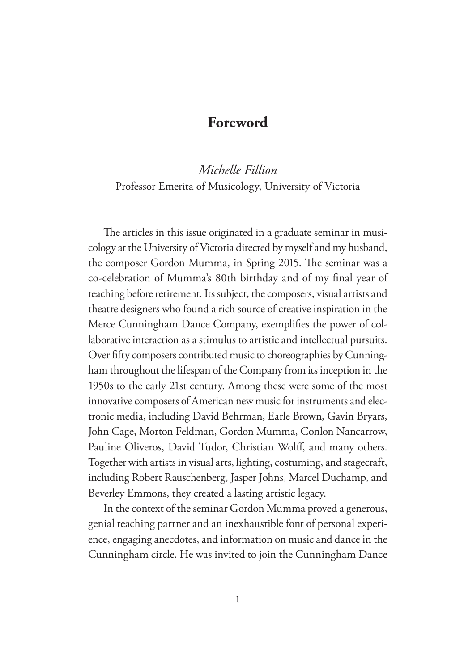## **Foreword**

## *Michelle Fillion*  Professor Emerita of Musicology, University of Victoria

The articles in this issue originated in a graduate seminar in musicology at the University of Victoria directed by myself and my husband, the composer Gordon Mumma, in Spring 2015. The seminar was a co-celebration of Mumma's 80th birthday and of my final year of teaching before retirement. Its subject, the composers, visual artists and theatre designers who found a rich source of creative inspiration in the Merce Cunningham Dance Company, exemplifies the power of collaborative interaction as a stimulus to artistic and intellectual pursuits. Over fifty composers contributed music to choreographies by Cunningham throughout the lifespan of the Company from its inception in the 1950s to the early 21st century. Among these were some of the most innovative composers of American new music for instruments and electronic media, including David Behrman, Earle Brown, Gavin Bryars, John Cage, Morton Feldman, Gordon Mumma, Conlon Nancarrow, Pauline Oliveros, David Tudor, Christian Wolff, and many others. Together with artists in visual arts, lighting, costuming, and stagecraft, including Robert Rauschenberg, Jasper Johns, Marcel Duchamp, and Beverley Emmons, they created a lasting artistic legacy.

In the context of the seminar Gordon Mumma proved a generous, genial teaching partner and an inexhaustible font of personal experience, engaging anecdotes, and information on music and dance in the Cunningham circle. He was invited to join the Cunningham Dance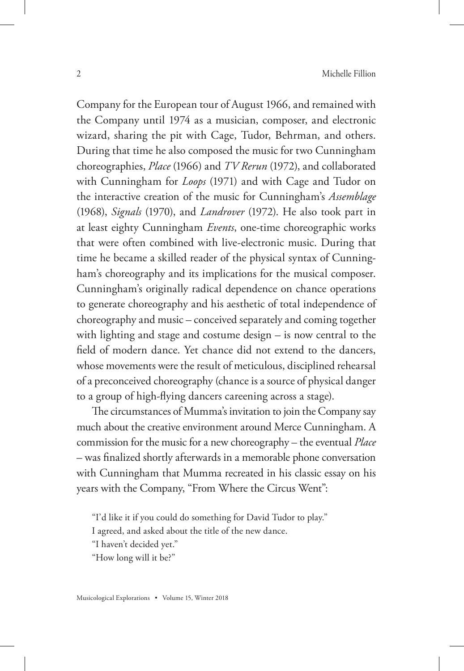Company for the European tour of August 1966, and remained with the Company until 1974 as a musician, composer, and electronic wizard, sharing the pit with Cage, Tudor, Behrman, and others. During that time he also composed the music for two Cunningham choreographies, *Place* (1966) and *TV Rerun* (1972), and collaborated with Cunningham for *Loops* (1971) and with Cage and Tudor on the interactive creation of the music for Cunningham's *Assemblage*  (1968), *Signals* (1970), and *Landrover* (1972). He also took part in at least eighty Cunningham *Events*, one-time choreographic works that were often combined with live-electronic music. During that time he became a skilled reader of the physical syntax of Cunningham's choreography and its implications for the musical composer. Cunningham's originally radical dependence on chance operations to generate choreography and his aesthetic of total independence of choreography and music – conceived separately and coming together with lighting and stage and costume design – is now central to the field of modern dance. Yet chance did not extend to the dancers, whose movements were the result of meticulous, disciplined rehearsal of a preconceived choreography (chance is a source of physical danger to a group of high-flying dancers careening across a stage).

The circumstances of Mumma's invitation to join the Company say much about the creative environment around Merce Cunningham. A commission for the music for a new choreography – the eventual *Place* – was finalized shortly afterwards in a memorable phone conversation with Cunningham that Mumma recreated in his classic essay on his years with the Company, "From Where the Circus Went":

"I'd like it if you could do something for David Tudor to play."

I agreed, and asked about the title of the new dance.

"I haven't decided yet."

"How long will it be?"

Musicological Explorations • Volume 15, Winter 2018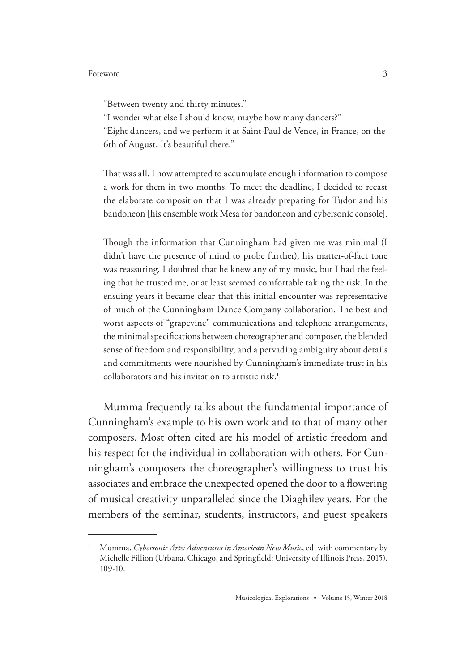## Foreword 3

"Between twenty and thirty minutes."

"I wonder what else I should know, maybe how many dancers?"

"Eight dancers, and we perform it at Saint-Paul de Vence, in France, on the 6th of August. It's beautiful there."

That was all. I now attempted to accumulate enough information to compose a work for them in two months. To meet the deadline, I decided to recast the elaborate composition that I was already preparing for Tudor and his bandoneon [his ensemble work Mesa for bandoneon and cybersonic console].

Though the information that Cunningham had given me was minimal (I didn't have the presence of mind to probe further), his matter-of-fact tone was reassuring. I doubted that he knew any of my music, but I had the feeling that he trusted me, or at least seemed comfortable taking the risk. In the ensuing years it became clear that this initial encounter was representative of much of the Cunningham Dance Company collaboration. The best and worst aspects of "grapevine" communications and telephone arrangements, the minimal specifications between choreographer and composer, the blended sense of freedom and responsibility, and a pervading ambiguity about details and commitments were nourished by Cunningham's immediate trust in his collaborators and his invitation to artistic risk.<sup>1</sup>

Mumma frequently talks about the fundamental importance of Cunningham's example to his own work and to that of many other composers. Most often cited are his model of artistic freedom and his respect for the individual in collaboration with others. For Cunningham's composers the choreographer's willingness to trust his associates and embrace the unexpected opened the door to a flowering of musical creativity unparalleled since the Diaghilev years. For the members of the seminar, students, instructors, and guest speakers

<sup>1</sup> Mumma, *Cybersonic Arts: Adventures in American New Music*, ed. with commentary by Michelle Fillion (Urbana, Chicago, and Springfield: University of Illinois Press, 2015), 109-10.